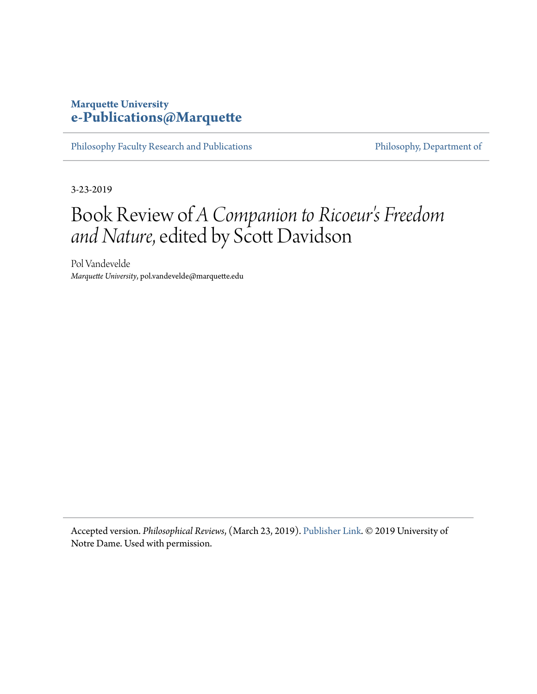### **Marquette University [e-Publications@Marquette](https://epublications.marquette.edu/)**

[Philosophy Faculty Research and Publications](https://epublications.marquette.edu/phil_fac) [Philosophy, Department of](https://epublications.marquette.edu/philosophy)

3-23-2019

## Book Review of *A Companion to Ricoeur's Freedom and Nature*, edited by Scott Davidson

Pol Vandevelde *Marquette University*, pol.vandevelde@marquette.edu

Accepted version. *Philosophical Reviews*, (March 23, 2019). [Publisher Link.](https://ndpr.nd.edu/news/a-companion-to-ricoeurs-freedom-and-nature/) © 2019 University of Notre Dame. Used with permission.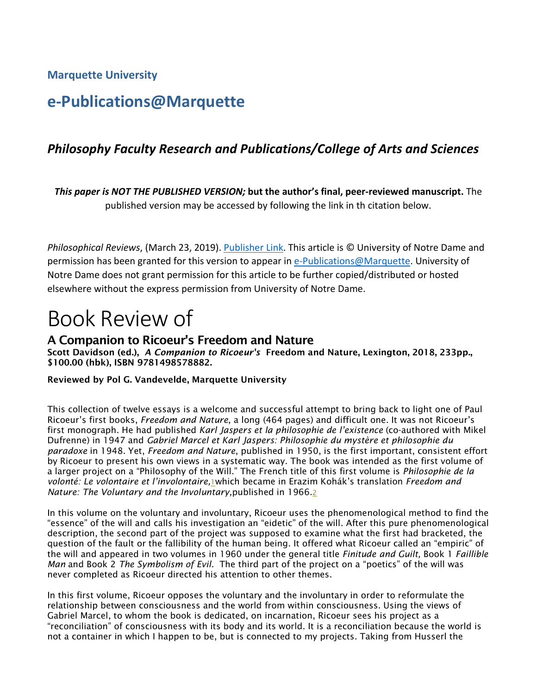**Marquette University**

### **e-Publications@Marquette**

### *Philosophy Faculty Research and Publications/College of Arts and Sciences*

*This paper is NOT THE PUBLISHED VERSION;* **but the author's final, peer-reviewed manuscript.** The published version may be accessed by following the link in th citation below.

*Philosophical Reviews*, (March 23, 2019). [Publisher Link.](https://ndpr.nd.edu/news/a-companion-to-ricoeurs-freedom-and-nature/) This article is © University of Notre Dame and permission has been granted for this version to appear in [e-Publications@Marquette.](http://epublications.marquette.edu/) University of Notre Dame does not grant permission for this article to be further copied/distributed or hosted elsewhere without the express permission from University of Notre Dame.

# Book Review of

### A Companion to Ricoeur's Freedom and Nature

Scott Davidson (ed.), *A Companion to Ricoeur's* Freedom and Nature, Lexington, 2018, 233pp., \$100.00 (hbk), ISBN 9781498578882.

#### Reviewed by Pol G. Vandevelde, Marquette University

This collection of twelve essays is a welcome and successful attempt to bring back to light one of Paul Ricoeur's first books, *Freedom and Nature,* a long (464 pages) and difficult one. It was not Ricoeur's first monograph. He had published *Karl Jaspers et la philosophie de l'existence* (co-authored with Mikel Dufrenne) in 1947 and *Gabriel Marcel et Karl Jaspers: Philosophie du mystère et philosophie du paradoxe* in 1948. Yet, *Freedom and Nature*, published in 1950, is the first important, consistent effort by Ricoeur to present his own views in a systematic way. The book was intended as the first volume of a larger project on a "Philosophy of the Will." The French title of this first volume is *Philosophie de la volonté: Le volontaire et l'involontaire,*[1w](https://ndpr.nd.edu/news/a-companion-to-ricoeurs-freedom-and-nature/#1%20end)hich became in Erazim Kohák's translation *Freedom and Nature: The Voluntary and the Involuntary,*published in 1966[.2](https://ndpr.nd.edu/news/a-companion-to-ricoeurs-freedom-and-nature/#2)

In this volume on the voluntary and involuntary, Ricoeur uses the phenomenological method to find the "essence" of the will and calls his investigation an "eidetic" of the will. After this pure phenomenological description, the second part of the project was supposed to examine what the first had bracketed, the question of the fault or the fallibility of the human being. It offered what Ricoeur called an "empiric" of the will and appeared in two volumes in 1960 under the general title *Finitude and Guilt,* Book 1 *Faillible Man* and Book 2 *The Symbolism of Evil.* The third part of the project on a "poetics" of the will was never completed as Ricoeur directed his attention to other themes.

In this first volume, Ricoeur opposes the voluntary and the involuntary in order to reformulate the relationship between consciousness and the world from within consciousness. Using the views of Gabriel Marcel, to whom the book is dedicated, on incarnation, Ricoeur sees his project as a "reconciliation" of consciousness with its body and its world. It is a reconciliation because the world is not a container in which I happen to be, but is connected to my projects. Taking from Husserl the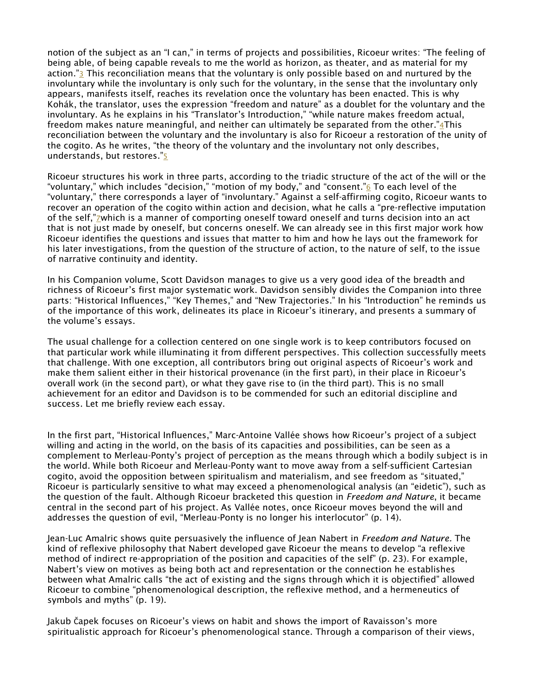notion of the subject as an "I can," in terms of projects and possibilities, Ricoeur writes: "The feeling of being able, of being capable reveals to me the world as horizon, as theater, and as material for my action.["3](https://ndpr.nd.edu/news/a-companion-to-ricoeurs-freedom-and-nature/#3) This reconciliation means that the voluntary is only possible based on and nurtured by the involuntary while the involuntary is only such for the voluntary, in the sense that the involuntary only appears, manifests itself, reaches its revelation once the voluntary has been enacted. This is why Kohák, the translator, uses the expression "freedom and nature" as a doublet for the voluntary and the involuntary. As he explains in his "Translator's Introduction," "while nature makes freedom actual, freedom makes nature meaningful, and neither can ultimately be separated from the other.["4T](https://ndpr.nd.edu/news/a-companion-to-ricoeurs-freedom-and-nature/#4%20end)his reconciliation between the voluntary and the involuntary is also for Ricoeur a restoration of the unity of the cogito. As he writes, "the theory of the voluntary and the involuntary not only describes, understands, but restores.["5](https://ndpr.nd.edu/news/a-companion-to-ricoeurs-freedom-and-nature/#5%20end)

Ricoeur structures his work in three parts, according to the triadic structure of the act of the will or the "voluntary," which includes "decision," "motion of my body," and "consent."<sup>6</sup> To each level of the "voluntary," there corresponds a layer of "involuntary." Against a self-affirming cogito, Ricoeur wants to recover an operation of the cogito within action and decision, what he calls a "pre-reflective imputation of the self,"*zwhich is a manner of comporting oneself toward oneself and turns decision into an act* that is not just made by oneself, but concerns oneself. We can already see in this first major work how Ricoeur identifies the questions and issues that matter to him and how he lays out the framework for his later investigations, from the question of the structure of action, to the nature of self, to the issue of narrative continuity and identity.

In his Companion volume, Scott Davidson manages to give us a very good idea of the breadth and richness of Ricoeur's first major systematic work. Davidson sensibly divides the Companion into three parts: "Historical Influences," "Key Themes," and "New Trajectories." In his "Introduction" he reminds us of the importance of this work, delineates its place in Ricoeur's itinerary, and presents a summary of the volume's essays.

The usual challenge for a collection centered on one single work is to keep contributors focused on that particular work while illuminating it from different perspectives. This collection successfully meets that challenge. With one exception, all contributors bring out original aspects of Ricoeur's work and make them salient either in their historical provenance (in the first part), in their place in Ricoeur's overall work (in the second part), or what they gave rise to (in the third part). This is no small achievement for an editor and Davidson is to be commended for such an editorial discipline and success. Let me briefly review each essay.

In the first part, "Historical Influences," Marc-Antoine Vallée shows how Ricoeur's project of a subject willing and acting in the world, on the basis of its capacities and possibilities, can be seen as a complement to Merleau-Ponty's project of perception as the means through which a bodily subject is in the world. While both Ricoeur and Merleau-Ponty want to move away from a self-sufficient Cartesian cogito, avoid the opposition between spiritualism and materialism, and see freedom as "situated," Ricoeur is particularly sensitive to what may exceed a phenomenological analysis (an "eidetic"), such as the question of the fault. Although Ricoeur bracketed this question in *Freedom and Nature*, it became central in the second part of his project. As Vallée notes, once Ricoeur moves beyond the will and addresses the question of evil, "Merleau-Ponty is no longer his interlocutor" (p. 14).

Jean-Luc Amalric shows quite persuasively the influence of Jean Nabert in *Freedom and Nature.* The kind of reflexive philosophy that Nabert developed gave Ricoeur the means to develop "a reflexive method of indirect re-appropriation of the position and capacities of the self" (p. 23). For example, Nabert's view on motives as being both act and representation or the connection he establishes between what Amalric calls "the act of existing and the signs through which it is objectified" allowed Ricoeur to combine "phenomenological description, the reflexive method, and a hermeneutics of symbols and myths" (p. 19).

Jakub Čapek focuses on Ricoeur's views on habit and shows the import of Ravaisson's more spiritualistic approach for Ricoeur's phenomenological stance. Through a comparison of their views,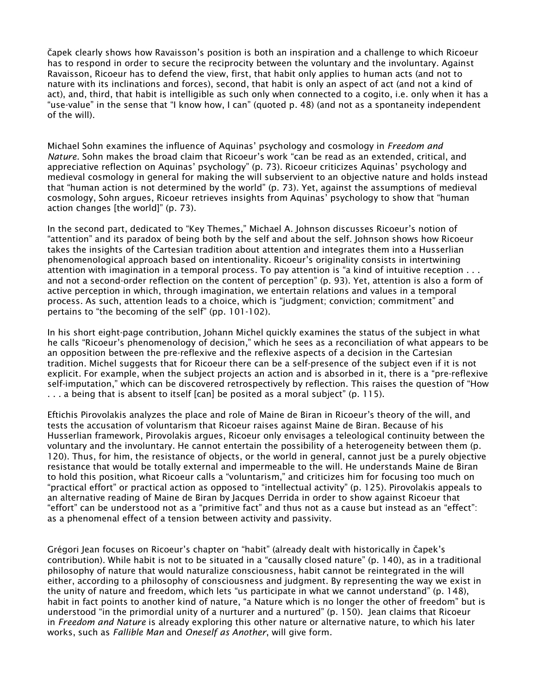Čapek clearly shows how Ravaisson's position is both an inspiration and a challenge to which Ricoeur has to respond in order to secure the reciprocity between the voluntary and the involuntary. Against Ravaisson, Ricoeur has to defend the view, first, that habit only applies to human acts (and not to nature with its inclinations and forces), second, that habit is only an aspect of act (and not a kind of act), and, third, that habit is intelligible as such only when connected to a cogito, i.e. only when it has a "use-value" in the sense that "I know how, I can" (quoted p. 48) (and not as a spontaneity independent of the will).

Michael Sohn examines the influence of Aquinas' psychology and cosmology in *Freedom and Nature.* Sohn makes the broad claim that Ricoeur's work "can be read as an extended, critical, and appreciative reflection on Aquinas' psychology" (p. 73). Ricoeur criticizes Aquinas' psychology and medieval cosmology in general for making the will subservient to an objective nature and holds instead that "human action is not determined by the world" (p. 73). Yet, against the assumptions of medieval cosmology, Sohn argues, Ricoeur retrieves insights from Aquinas' psychology to show that "human action changes [the world]" (p. 73).

In the second part, dedicated to "Key Themes," Michael A. Johnson discusses Ricoeur's notion of "attention" and its paradox of being both by the self and about the self. Johnson shows how Ricoeur takes the insights of the Cartesian tradition about attention and integrates them into a Husserlian phenomenological approach based on intentionality. Ricoeur's originality consists in intertwining attention with imagination in a temporal process. To pay attention is "a kind of intuitive reception . . . and not a second-order reflection on the content of perception" (p. 93). Yet, attention is also a form of active perception in which, through imagination, we entertain relations and values in a temporal process. As such, attention leads to a choice, which is "judgment; conviction; commitment" and pertains to "the becoming of the self" (pp. 101-102).

In his short eight-page contribution, Johann Michel quickly examines the status of the subject in what he calls "Ricoeur's phenomenology of decision," which he sees as a reconciliation of what appears to be an opposition between the pre-reflexive and the reflexive aspects of a decision in the Cartesian tradition. Michel suggests that for Ricoeur there can be a self-presence of the subject even if it is not explicit. For example, when the subject projects an action and is absorbed in it, there is a "pre-reflexive self-imputation," which can be discovered retrospectively by reflection. This raises the question of "How . . . a being that is absent to itself [can] be posited as a moral subject" (p. 115).

Eftichis Pirovolakis analyzes the place and role of Maine de Biran in Ricoeur's theory of the will, and tests the accusation of voluntarism that Ricoeur raises against Maine de Biran. Because of his Husserlian framework, Pirovolakis argues, Ricoeur only envisages a teleological continuity between the voluntary and the involuntary. He cannot entertain the possibility of a heterogeneity between them (p. 120). Thus, for him, the resistance of objects, or the world in general, cannot just be a purely objective resistance that would be totally external and impermeable to the will. He understands Maine de Biran to hold this position, what Ricoeur calls a "voluntarism," and criticizes him for focusing too much on "practical effort" or practical action as opposed to "intellectual activity" (p. 125). Pirovolakis appeals to an alternative reading of Maine de Biran by Jacques Derrida in order to show against Ricoeur that "effort" can be understood not as a "primitive fact" and thus not as a cause but instead as an "effect": as a phenomenal effect of a tension between activity and passivity.

Grégori Jean focuses on Ricoeur's chapter on "habit" (already dealt with historically in Čapek's contribution). While habit is not to be situated in a "causally closed nature" (p. 140), as in a traditional philosophy of nature that would naturalize consciousness, habit cannot be reintegrated in the will either, according to a philosophy of consciousness and judgment. By representing the way we exist in the unity of nature and freedom, which lets "us participate in what we cannot understand" (p. 148), habit in fact points to another kind of nature, "a Nature which is no longer the other of freedom" but is understood "in the primordial unity of a nurturer and a nurtured" (p. 150). Jean claims that Ricoeur in *Freedom and Nature* is already exploring this other nature or alternative nature, to which his later works, such as *Fallible Man* and *Oneself as Another*, will give form*.*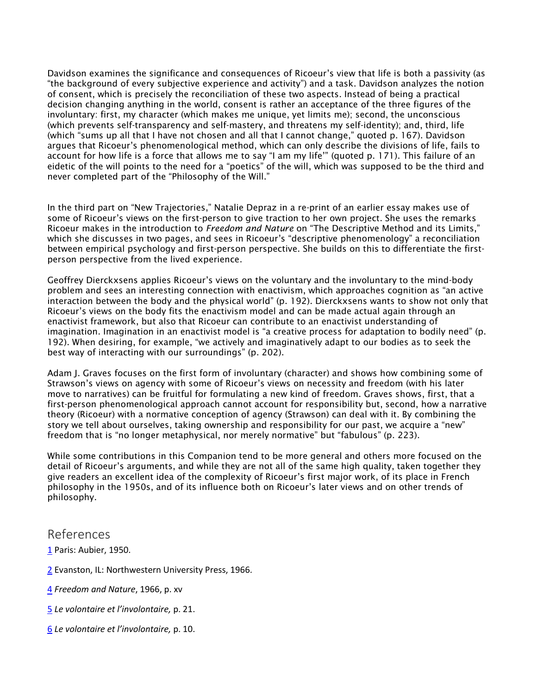Davidson examines the significance and consequences of Ricoeur's view that life is both a passivity (as "the background of every subjective experience and activity") and a task. Davidson analyzes the notion of consent, which is precisely the reconciliation of these two aspects. Instead of being a practical decision changing anything in the world, consent is rather an acceptance of the three figures of the involuntary: first, my character (which makes me unique, yet limits me); second, the unconscious (which prevents self-transparency and self-mastery, and threatens my self-identity); and, third, life (which "sums up all that I have not chosen and all that I cannot change," quoted p. 167). Davidson argues that Ricoeur's phenomenological method, which can only describe the divisions of life, fails to account for how life is a force that allows me to say "I am my life'" (quoted p. 171). This failure of an eidetic of the will points to the need for a "poetics" of the will, which was supposed to be the third and never completed part of the "Philosophy of the Will."

In the third part on "New Trajectories," Natalie Depraz in a re-print of an earlier essay makes use of some of Ricoeur's views on the first-person to give traction to her own project. She uses the remarks Ricoeur makes in the introduction to *Freedom and Nature* on "The Descriptive Method and its Limits," which she discusses in two pages, and sees in Ricoeur's "descriptive phenomenology" a reconciliation between empirical psychology and first-person perspective. She builds on this to differentiate the firstperson perspective from the lived experience.

Geoffrey Dierckxsens applies Ricoeur's views on the voluntary and the involuntary to the mind-body problem and sees an interesting connection with enactivism, which approaches cognition as "an active interaction between the body and the physical world" (p. 192). Dierckxsens wants to show not only that Ricoeur's views on the body fits the enactivism model and can be made actual again through an enactivist framework, but also that Ricoeur can contribute to an enactivist understanding of imagination. Imagination in an enactivist model is "a creative process for adaptation to bodily need" (p. 192). When desiring, for example, "we actively and imaginatively adapt to our bodies as to seek the best way of interacting with our surroundings" (p. 202).

Adam J. Graves focuses on the first form of involuntary (character) and shows how combining some of Strawson's views on agency with some of Ricoeur's views on necessity and freedom (with his later move to narratives) can be fruitful for formulating a new kind of freedom. Graves shows, first, that a first-person phenomenological approach cannot account for responsibility but, second, how a narrative theory (Ricoeur) with a normative conception of agency (Strawson) can deal with it. By combining the story we tell about ourselves, taking ownership and responsibility for our past, we acquire a "new" freedom that is "no longer metaphysical, nor merely normative" but "fabulous" (p. 223).

While some contributions in this Companion tend to be more general and others more focused on the detail of Ricoeur's arguments, and while they are not all of the same high quality, taken together they give readers an excellent idea of the complexity of Ricoeur's first major work, of its place in French philosophy in the 1950s, and of its influence both on Ricoeur's later views and on other trends of philosophy.

### References

[1](https://ndpr.nd.edu/news/a-companion-to-ricoeurs-freedom-and-nature/#1) Paris: Aubier, 1950.

[2](https://ndpr.nd.edu/news/a-companion-to-ricoeurs-freedom-and-nature/#2) Evanston, IL: Northwestern University Press, 1966.

[4](https://ndpr.nd.edu/news/a-companion-to-ricoeurs-freedom-and-nature/#4) *Freedom and Nature*, 1966, p. xv

- [5](https://ndpr.nd.edu/news/a-companion-to-ricoeurs-freedom-and-nature/#5) *Le volontaire et l'involontaire,* p. 21.
- [6](https://ndpr.nd.edu/news/a-companion-to-ricoeurs-freedom-and-nature/#6) *Le volontaire et l'involontaire,* p. 10.